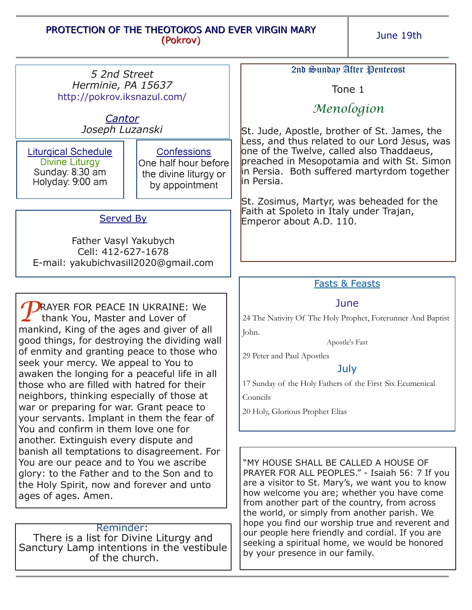## PROTECTION OF THE THEOTOKOS AND EVER VIRGIN MARY (Pokrov)

June 19th

|                                                                                                                                                                                                                                                                                                                                                                                                                                                                                                                                            | 2nd Sunday After Pentecost                                                                                                                                                                                                                                                                                                                                                                                                                                                           |
|--------------------------------------------------------------------------------------------------------------------------------------------------------------------------------------------------------------------------------------------------------------------------------------------------------------------------------------------------------------------------------------------------------------------------------------------------------------------------------------------------------------------------------------------|--------------------------------------------------------------------------------------------------------------------------------------------------------------------------------------------------------------------------------------------------------------------------------------------------------------------------------------------------------------------------------------------------------------------------------------------------------------------------------------|
| Herminie, PA 15637                                                                                                                                                                                                                                                                                                                                                                                                                                                                                                                         | Tone 1                                                                                                                                                                                                                                                                                                                                                                                                                                                                               |
|                                                                                                                                                                                                                                                                                                                                                                                                                                                                                                                                            | Menologion                                                                                                                                                                                                                                                                                                                                                                                                                                                                           |
| Joseph Luzanski                                                                                                                                                                                                                                                                                                                                                                                                                                                                                                                            | St. Jude, Apostle, brother of St. James, the<br>Less, and thus related to our Lord Jesus, was                                                                                                                                                                                                                                                                                                                                                                                        |
| <b>Confessions</b><br>One half hour before<br>the divine liturgy or<br>by appointment                                                                                                                                                                                                                                                                                                                                                                                                                                                      | one of the Twelve, called also Thaddaeus,<br>preached in Mesopotamia and with St. Simon<br>in Persia. Both suffered martyrdom together<br>in Persia.                                                                                                                                                                                                                                                                                                                                 |
|                                                                                                                                                                                                                                                                                                                                                                                                                                                                                                                                            | St. Zosimus, Martyr, was beheaded for the<br>Faith at Spoleto in Italy under Trajan,                                                                                                                                                                                                                                                                                                                                                                                                 |
| <b>Served By</b>                                                                                                                                                                                                                                                                                                                                                                                                                                                                                                                           | Emperor about A.D. 110.                                                                                                                                                                                                                                                                                                                                                                                                                                                              |
| Father Vasyl Yakubych<br>Cell: 412-627-1678<br>E-mail: yakubichvasill2020@gmail.com                                                                                                                                                                                                                                                                                                                                                                                                                                                        |                                                                                                                                                                                                                                                                                                                                                                                                                                                                                      |
|                                                                                                                                                                                                                                                                                                                                                                                                                                                                                                                                            | <b>Fasts &amp; Feasts</b>                                                                                                                                                                                                                                                                                                                                                                                                                                                            |
| <b>RAYER FOR PEACE IN UKRAINE: We</b><br>thank You, Master and Lover of<br>mankind, King of the ages and giver of all<br>good things, for destroying the dividing wall<br>of enmity and granting peace to those who<br>seek your mercy. We appeal to You to<br>awaken the longing for a peaceful life in all<br>those who are filled with hatred for their<br>neighbors, thinking especially of those at<br>war or preparing for war. Grant peace to<br>your servants. Implant in them the fear of<br>You and confirm in them love one for | June<br>24 The Nativity Of The Holy Prophet, Forerunner And Baptist<br>John.<br>Apostle's Fast<br>29 Peter and Paul Apostles<br>July<br>17 Sunday of the Holy Fathers of the First Six Ecumenical<br>Councils<br>20 Holy, Glorious Prophet Elias                                                                                                                                                                                                                                     |
| another. Extinguish every dispute and<br>banish all temptations to disagreement. For<br>You are our peace and to You we ascribe<br>glory: to the Father and to the Son and to<br>the Holy Spirit, now and forever and unto<br>Reminder:<br>There is a list for Divine Liturgy and<br>Sanctury Lamp intentions in the vestibule<br>of the church.                                                                                                                                                                                           | "MY HOUSE SHALL BE CALLED A HOUSE OF<br>PRAYER FOR ALL PEOPLES." - Isaiah 56: 7 If you<br>are a visitor to St. Mary's, we want you to know<br>how welcome you are; whether you have come<br>from another part of the country, from across<br>the world, or simply from another parish. We<br>hope you find our worship true and reverent and<br>our people here friendly and cordial. If you are<br>seeking a spiritual home, we would be honored<br>by your presence in our family. |
|                                                                                                                                                                                                                                                                                                                                                                                                                                                                                                                                            | 5 2nd Street<br>http://pokrov.iksnazul.com/<br>Cantor                                                                                                                                                                                                                                                                                                                                                                                                                                |